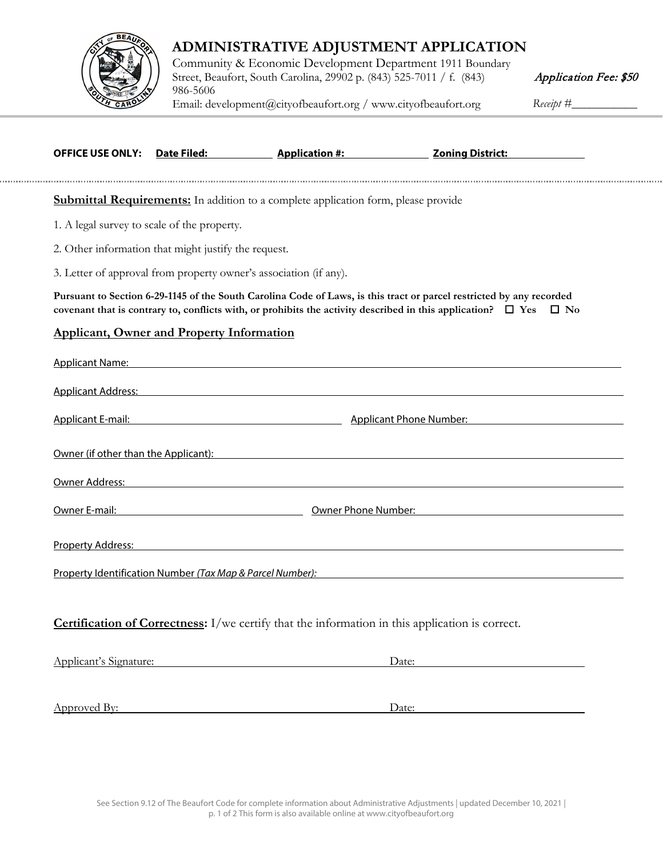

## **ADMINISTRATIVE ADJUSTMENT APPLICATION**

Community & Economic Development Department 1911 Boundary Street, Beaufort, South Carolina, 29902 p. (843) 525-7011 / f. (843) 986-5606 [Email: development@ci](http://www.cityofbeaufort.org/)tyofbeaufort.org / www.cityofbeaufort.org Receipt #\_\_\_\_\_\_\_\_\_

Application Fee: \$50

| <b>OFFICE USE ONLY:</b>                              | Date Filed: | Application #:                                                                                                                                                                                                                      | <b>Zoning District:</b>                                                                                                                                                                                                                                  |
|------------------------------------------------------|-------------|-------------------------------------------------------------------------------------------------------------------------------------------------------------------------------------------------------------------------------------|----------------------------------------------------------------------------------------------------------------------------------------------------------------------------------------------------------------------------------------------------------|
|                                                      |             | <b>Submittal Requirements:</b> In addition to a complete application form, please provide                                                                                                                                           |                                                                                                                                                                                                                                                          |
| 1. A legal survey to scale of the property.          |             |                                                                                                                                                                                                                                     |                                                                                                                                                                                                                                                          |
| 2. Other information that might justify the request. |             |                                                                                                                                                                                                                                     |                                                                                                                                                                                                                                                          |
|                                                      |             | 3. Letter of approval from property owner's association (if any).                                                                                                                                                                   |                                                                                                                                                                                                                                                          |
|                                                      |             |                                                                                                                                                                                                                                     | Pursuant to Section 6-29-1145 of the South Carolina Code of Laws, is this tract or parcel restricted by any recorded<br>covenant that is contrary to, conflicts with, or prohibits the activity described in this application? $\Box$ Yes $\Box$ No      |
| <b>Applicant, Owner and Property Information</b>     |             |                                                                                                                                                                                                                                     |                                                                                                                                                                                                                                                          |
|                                                      |             | Applicant Name: Name and Applicant Name and Applicant Name and Applicant Name and Applicant Name and Applicant                                                                                                                      |                                                                                                                                                                                                                                                          |
|                                                      |             |                                                                                                                                                                                                                                     | Applicant Address: Applicant Address: Applicant Address: Applicant Address: Applicant Address: Applicant Address:                                                                                                                                        |
|                                                      |             |                                                                                                                                                                                                                                     | Applicant E-mail: <b>Applicant E-mail:</b> Applicant Phone Number: <b>Applicant Phone Number:</b> Applicant E-mail: Applicant Phone Number: <b>Applicant E-mail:</b> Applicant Phone Number: <b>Applicant E-mail:</b> Applicant Phone Number: <b>App</b> |
|                                                      |             |                                                                                                                                                                                                                                     | Owner (if other than the Applicant): The state of the state of the state of the state of the state of the state of the state of the state of the state of the state of the state of the state of the state of the state of the                           |
|                                                      |             |                                                                                                                                                                                                                                     | Owner Address: National Address: National Address of Address: National Address: National Address: National Address:                                                                                                                                      |
|                                                      |             | <u>Owner E-mail:</u> Compared to the Compared Compared Compared Compared Compared Compared Compared Compared Compared Compared Compared Compared Compared Compared Compared Compared Compared Compared Compared Compared Compared C |                                                                                                                                                                                                                                                          |
|                                                      |             | Property Address: North American Control of The Control of The Control of The Control of The Control of The Co                                                                                                                      |                                                                                                                                                                                                                                                          |
|                                                      |             |                                                                                                                                                                                                                                     | Property Identification Number (Tax Map & Parcel Number):                                                                                                                                                                                                |
|                                                      |             |                                                                                                                                                                                                                                     |                                                                                                                                                                                                                                                          |
|                                                      |             | <b>Certification of Correctness:</b> I/we certify that the information in this application is correct.                                                                                                                              |                                                                                                                                                                                                                                                          |
| Applicant's Signature:                               |             | Date:                                                                                                                                                                                                                               |                                                                                                                                                                                                                                                          |
|                                                      |             |                                                                                                                                                                                                                                     |                                                                                                                                                                                                                                                          |